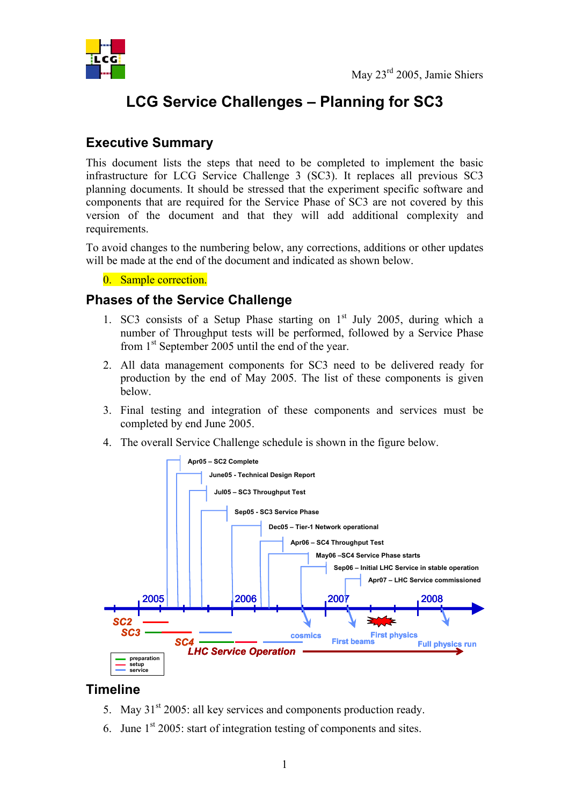

# **LCG Service Challenges – Planning for SC3**

# **Executive Summary**

This document lists the steps that need to be completed to implement the basic infrastructure for LCG Service Challenge 3 (SC3). It replaces all previous SC3 planning documents. It should be stressed that the experiment specific software and components that are required for the Service Phase of SC3 are not covered by this version of the document and that they will add additional complexity and requirements.

To avoid changes to the numbering below, any corrections, additions or other updates will be made at the end of the document and indicated as shown below.

0. Sample correction.

#### **Phases of the Service Challenge**

- 1. SC3 consists of a Setup Phase starting on  $1<sup>st</sup>$  July 2005, during which a number of Throughput tests will be performed, followed by a Service Phase from 1<sup>st</sup> September 2005 until the end of the year.
- 2. All data management components for SC3 need to be delivered ready for production by the end of May 2005. The list of these components is given below.
- 3. Final testing and integration of these components and services must be completed by end June 2005.
- 4. The overall Service Challenge schedule is shown in the figure below.



#### **Timeline**

- 5. May  $31<sup>st</sup> 2005$ : all key services and components production ready.
- 6. June  $1<sup>st</sup>$  2005: start of integration testing of components and sites.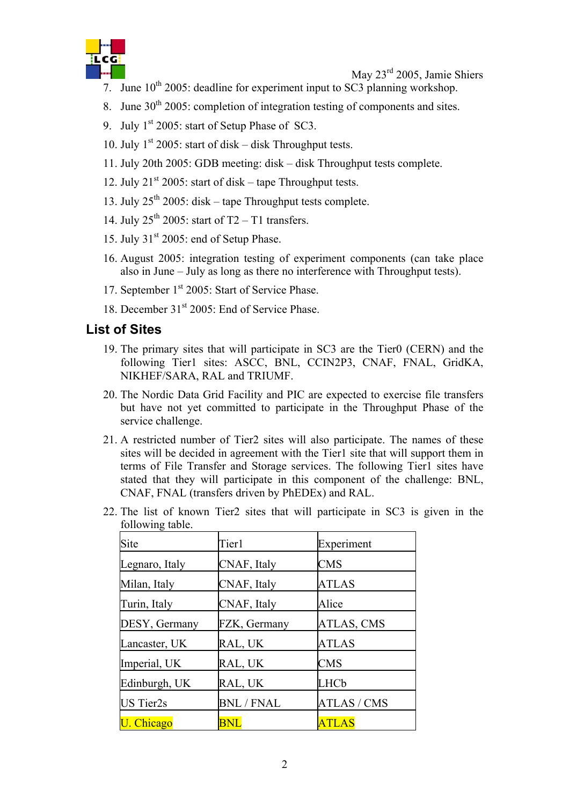

May 23rd 2005, Jamie Shiers

- 7. June  $10^{th}$  2005: deadline for experiment input to SC3 planning workshop.
- 8. June  $30<sup>th</sup>$  2005: completion of integration testing of components and sites.
- 9. July 1<sup>st</sup> 2005: start of Setup Phase of SC3.
- 10. July  $1^{st}$  2005: start of disk disk Throughput tests.
- 11. July 20th 2005: GDB meeting: disk disk Throughput tests complete.
- 12. July  $21^{st}$  2005: start of disk tape Throughput tests.
- 13. July  $25^{th}$  2005: disk tape Throughput tests complete.
- 14. July  $25^{th}$  2005: start of T2 T1 transfers.
- 15. July  $31<sup>st</sup> 2005$ : end of Setup Phase.
- 16. August 2005: integration testing of experiment components (can take place also in June – July as long as there no interference with Throughput tests).
- 17. September 1<sup>st</sup> 2005: Start of Service Phase.
- 18. December 31<sup>st</sup> 2005: End of Service Phase.

#### **List of Sites**

- 19. The primary sites that will participate in SC3 are the Tier0 (CERN) and the following Tier1 sites: ASCC, BNL, CCIN2P3, CNAF, FNAL, GridKA, NIKHEF/SARA, RAL and TRIUMF.
- 20. The Nordic Data Grid Facility and PIC are expected to exercise file transfers but have not yet committed to participate in the Throughput Phase of the service challenge.
- 21. A restricted number of Tier2 sites will also participate. The names of these sites will be decided in agreement with the Tier1 site that will support them in terms of File Transfer and Storage services. The following Tier1 sites have stated that they will participate in this component of the challenge: BNL, CNAF, FNAL (transfers driven by PhEDEx) and RAL.
- 22. The list of known Tier2 sites that will participate in SC3 is given in the following table.

| Site             | Tier1             | Experiment         |
|------------------|-------------------|--------------------|
| Legnaro, Italy   | CNAF, Italy       | <b>CMS</b>         |
| Milan, Italy     | CNAF, Italy       | <b>ATLAS</b>       |
| Turin, Italy     | CNAF, Italy       | Alice              |
| DESY, Germany    | FZK, Germany      | ATLAS, CMS         |
| Lancaster, UK    | RAL, UK           | <b>ATLAS</b>       |
| Imperial, UK     | RAL, UK           | <b>CMS</b>         |
| Edinburgh, UK    | RAL, UK           | LHCb               |
| <b>US</b> Tier2s | <b>BNL / FNAL</b> | <b>ATLAS / CMS</b> |
| U. Chicago       | <b>BNL</b>        | <b>ATLAS</b>       |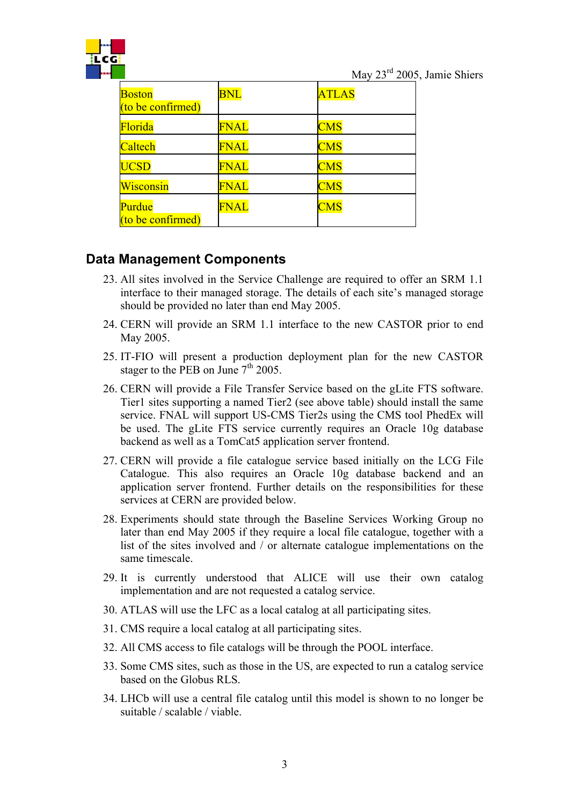

May 23rd 2005, Jamie Shiers

| <b>Boston</b><br>$($ to be confirmed $)$ | <b>BNL</b>  | <b>ATLAS</b> |
|------------------------------------------|-------------|--------------|
| Florida                                  | FNAL        | <b>CMS</b>   |
| Caltech                                  | <b>FNAL</b> | <b>CMS</b>   |
| <b>UCSD</b>                              | <b>FNAL</b> | <b>CMS</b>   |
| Wisconsin                                | <b>FNAL</b> | <b>CMS</b>   |
| Purdue<br>(to be confirmed)              | <b>FNAL</b> | <b>CMS</b>   |

# **Data Management Components**

- 23. All sites involved in the Service Challenge are required to offer an SRM 1.1 interface to their managed storage. The details of each site's managed storage should be provided no later than end May 2005.
- 24. CERN will provide an SRM 1.1 interface to the new CASTOR prior to end May 2005.
- 25. IT-FIO will present a production deployment plan for the new CASTOR stager to the PEB on June  $7<sup>th</sup>$  2005.
- 26. CERN will provide a File Transfer Service based on the gLite FTS software. Tier1 sites supporting a named Tier2 (see above table) should install the same service. FNAL will support US-CMS Tier2s using the CMS tool PhedEx will be used. The gLite FTS service currently requires an Oracle 10g database backend as well as a TomCat5 application server frontend.
- 27. CERN will provide a file catalogue service based initially on the LCG File Catalogue. This also requires an Oracle 10g database backend and an application server frontend. Further details on the responsibilities for these services at CERN are provided below.
- 28. Experiments should state through the Baseline Services Working Group no later than end May 2005 if they require a local file catalogue, together with a list of the sites involved and / or alternate catalogue implementations on the same timescale.
- 29. It is currently understood that ALICE will use their own catalog implementation and are not requested a catalog service.
- 30. ATLAS will use the LFC as a local catalog at all participating sites.
- 31. CMS require a local catalog at all participating sites.
- 32. All CMS access to file catalogs will be through the POOL interface.
- 33. Some CMS sites, such as those in the US, are expected to run a catalog service based on the Globus RLS.
- 34. LHCb will use a central file catalog until this model is shown to no longer be suitable / scalable / viable.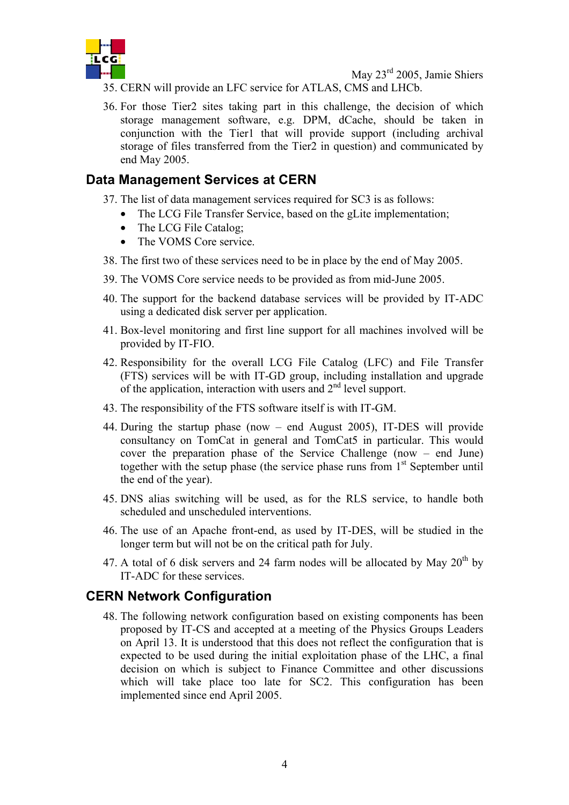

- 35. CERN will provide an LFC service for ATLAS, CMS and LHCb.
- 36. For those Tier2 sites taking part in this challenge, the decision of which storage management software, e.g. DPM, dCache, should be taken in conjunction with the Tier1 that will provide support (including archival storage of files transferred from the Tier2 in question) and communicated by end May 2005.

#### **Data Management Services at CERN**

- 37. The list of data management services required for SC3 is as follows:
	- The LCG File Transfer Service, based on the gLite implementation;
		- The LCG File Catalog:
		- The VOMS Core service.
- 38. The first two of these services need to be in place by the end of May 2005.
- 39. The VOMS Core service needs to be provided as from mid-June 2005.
- 40. The support for the backend database services will be provided by IT-ADC using a dedicated disk server per application.
- 41. Box-level monitoring and first line support for all machines involved will be provided by IT-FIO.
- 42. Responsibility for the overall LCG File Catalog (LFC) and File Transfer (FTS) services will be with IT-GD group, including installation and upgrade of the application, interaction with users and  $2<sup>nd</sup>$  level support.
- 43. The responsibility of the FTS software itself is with IT-GM.
- 44. During the startup phase (now end August 2005), IT-DES will provide consultancy on TomCat in general and TomCat5 in particular. This would cover the preparation phase of the Service Challenge (now – end June) together with the setup phase (the service phase runs from  $1<sup>st</sup>$  September until the end of the year).
- 45. DNS alias switching will be used, as for the RLS service, to handle both scheduled and unscheduled interventions.
- 46. The use of an Apache front-end, as used by IT-DES, will be studied in the longer term but will not be on the critical path for July.
- 47. A total of 6 disk servers and 24 farm nodes will be allocated by May  $20<sup>th</sup>$  by IT-ADC for these services.

#### **CERN Network Configuration**

48. The following network configuration based on existing components has been proposed by IT-CS and accepted at a meeting of the Physics Groups Leaders on April 13. It is understood that this does not reflect the configuration that is expected to be used during the initial exploitation phase of the LHC, a final decision on which is subject to Finance Committee and other discussions which will take place too late for SC2. This configuration has been implemented since end April 2005.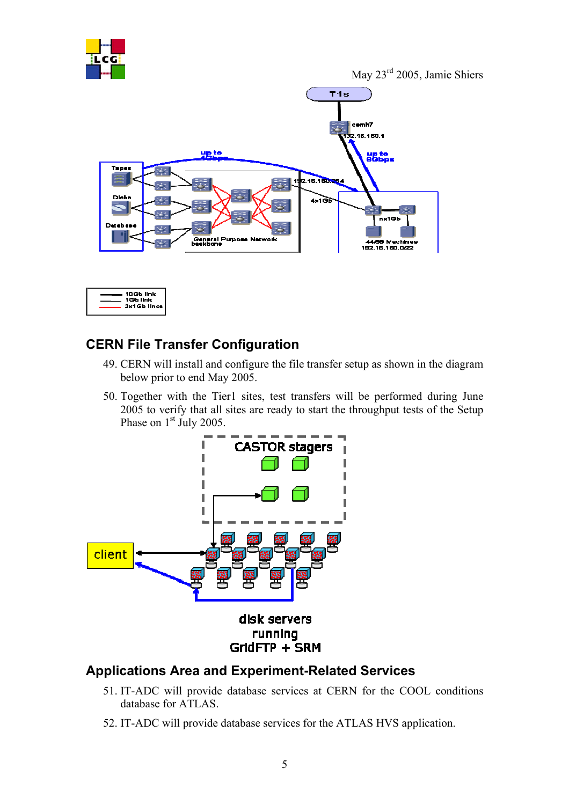

May 23rd 2005, Jamie Shiers





## **CERN File Transfer Configuration**

- 49. CERN will install and configure the file transfer setup as shown in the diagram below prior to end May 2005.
- 50. Together with the Tier1 sites, test transfers will be performed during June 2005 to verify that all sites are ready to start the throughput tests of the Setup Phase on 1<sup>st</sup> July 2005.



#### **Applications Area and Experiment-Related Services**

- 51. IT-ADC will provide database services at CERN for the COOL conditions database for ATLAS.
- 52. IT-ADC will provide database services for the ATLAS HVS application.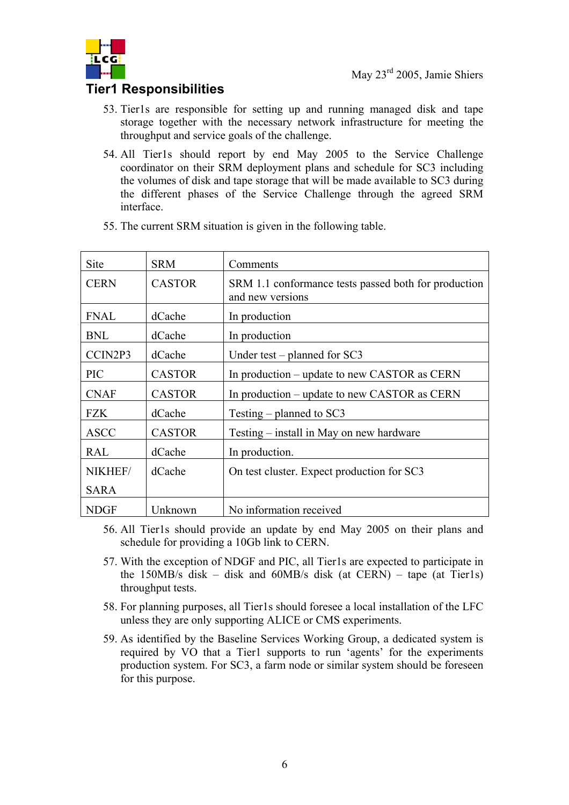

# **Tier1 Responsibilities**

- 53. Tier1s are responsible for setting up and running managed disk and tape storage together with the necessary network infrastructure for meeting the throughput and service goals of the challenge.
- 54. All Tier1s should report by end May 2005 to the Service Challenge coordinator on their SRM deployment plans and schedule for SC3 including the volumes of disk and tape storage that will be made available to SC3 during the different phases of the Service Challenge through the agreed SRM interface.

| Site        | <b>SRM</b>    | Comments                                                                 |
|-------------|---------------|--------------------------------------------------------------------------|
| <b>CERN</b> | <b>CASTOR</b> | SRM 1.1 conformance tests passed both for production<br>and new versions |
| <b>FNAL</b> | dCache        | In production                                                            |
| <b>BNL</b>  | dCache        | In production                                                            |
| CCIN2P3     | dCache        | Under test – planned for $SC3$                                           |
| <b>PIC</b>  | <b>CASTOR</b> | In production – update to new CASTOR as CERN                             |
| <b>CNAF</b> | <b>CASTOR</b> | In production – update to new CASTOR as CERN                             |
| <b>FZK</b>  | dCache        | Testing – planned to $SC3$                                               |
| <b>ASCC</b> | <b>CASTOR</b> | Testing – install in May on new hardware                                 |
| <b>RAL</b>  | dCache        | In production.                                                           |
| NIKHEF/     | dCache        | On test cluster. Expect production for SC3                               |
| <b>SARA</b> |               |                                                                          |
| NDGF        | Unknown       | No information received                                                  |

55. The current SRM situation is given in the following table.

- 56. All Tier1s should provide an update by end May 2005 on their plans and schedule for providing a 10Gb link to CERN.
- 57. With the exception of NDGF and PIC, all Tier1s are expected to participate in the 150MB/s disk – disk and 60MB/s disk (at CERN) – tape (at Tier1s) throughput tests.
- 58. For planning purposes, all Tier1s should foresee a local installation of the LFC unless they are only supporting ALICE or CMS experiments.
- 59. As identified by the Baseline Services Working Group, a dedicated system is required by VO that a Tier1 supports to run 'agents' for the experiments production system. For SC3, a farm node or similar system should be foreseen for this purpose.